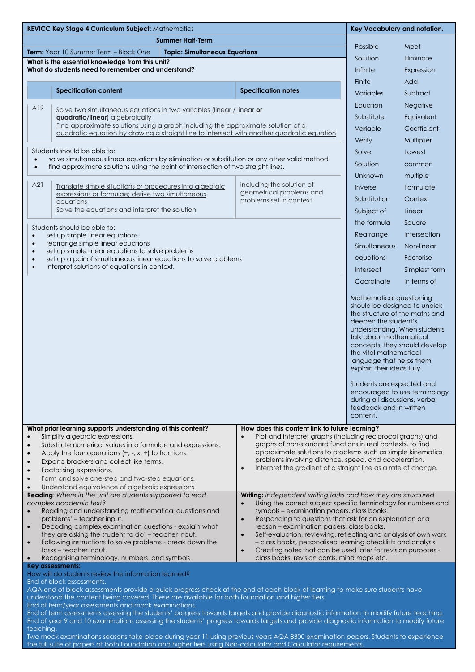| <b>KEVICC Key Stage 4 Curriculum Subject: Mathematics</b>                                                                                                                                                                                                                                                                                                                                                                                                                                                                                                                                                                                                                                                                                                                                                                                                                                                                                                                                                  |                                      |                                                                                  |                                                                                                                                                                                                                                                                                                                                                                                                          | Key Vocabulary and notation.  |  |
|------------------------------------------------------------------------------------------------------------------------------------------------------------------------------------------------------------------------------------------------------------------------------------------------------------------------------------------------------------------------------------------------------------------------------------------------------------------------------------------------------------------------------------------------------------------------------------------------------------------------------------------------------------------------------------------------------------------------------------------------------------------------------------------------------------------------------------------------------------------------------------------------------------------------------------------------------------------------------------------------------------|--------------------------------------|----------------------------------------------------------------------------------|----------------------------------------------------------------------------------------------------------------------------------------------------------------------------------------------------------------------------------------------------------------------------------------------------------------------------------------------------------------------------------------------------------|-------------------------------|--|
| <b>Summer Half-Term</b>                                                                                                                                                                                                                                                                                                                                                                                                                                                                                                                                                                                                                                                                                                                                                                                                                                                                                                                                                                                    |                                      |                                                                                  |                                                                                                                                                                                                                                                                                                                                                                                                          |                               |  |
| Term: Year 10 Summer Term - Block One                                                                                                                                                                                                                                                                                                                                                                                                                                                                                                                                                                                                                                                                                                                                                                                                                                                                                                                                                                      | <b>Topic: Simultaneous Equations</b> |                                                                                  | Possible<br>Solution                                                                                                                                                                                                                                                                                                                                                                                     | Meet<br>Eliminate             |  |
| What is the essential knowledge from this unit?<br>What do students need to remember and understand?                                                                                                                                                                                                                                                                                                                                                                                                                                                                                                                                                                                                                                                                                                                                                                                                                                                                                                       |                                      |                                                                                  | Infinite                                                                                                                                                                                                                                                                                                                                                                                                 |                               |  |
|                                                                                                                                                                                                                                                                                                                                                                                                                                                                                                                                                                                                                                                                                                                                                                                                                                                                                                                                                                                                            |                                      |                                                                                  | Finite                                                                                                                                                                                                                                                                                                                                                                                                   | Expression<br>Add             |  |
| <b>Specification content</b>                                                                                                                                                                                                                                                                                                                                                                                                                                                                                                                                                                                                                                                                                                                                                                                                                                                                                                                                                                               |                                      | <b>Specification notes</b>                                                       | Variables                                                                                                                                                                                                                                                                                                                                                                                                | Subtract                      |  |
|                                                                                                                                                                                                                                                                                                                                                                                                                                                                                                                                                                                                                                                                                                                                                                                                                                                                                                                                                                                                            |                                      |                                                                                  | Equation                                                                                                                                                                                                                                                                                                                                                                                                 | Negative                      |  |
| A19<br>Solve two simultaneous equations in two variables (linear / linear or<br>quadratic/linear) algebraically                                                                                                                                                                                                                                                                                                                                                                                                                                                                                                                                                                                                                                                                                                                                                                                                                                                                                            |                                      |                                                                                  | Substitute                                                                                                                                                                                                                                                                                                                                                                                               | Equivalent                    |  |
| Find approximate solutions using a graph including the approximate solution of a                                                                                                                                                                                                                                                                                                                                                                                                                                                                                                                                                                                                                                                                                                                                                                                                                                                                                                                           |                                      |                                                                                  | Variable                                                                                                                                                                                                                                                                                                                                                                                                 | Coefficient                   |  |
| quadratic equation by drawing a straight line to intersect with another quadratic equation                                                                                                                                                                                                                                                                                                                                                                                                                                                                                                                                                                                                                                                                                                                                                                                                                                                                                                                 |                                      |                                                                                  | Verify                                                                                                                                                                                                                                                                                                                                                                                                   | Multiplier                    |  |
| Students should be able to:                                                                                                                                                                                                                                                                                                                                                                                                                                                                                                                                                                                                                                                                                                                                                                                                                                                                                                                                                                                |                                      |                                                                                  | Solve                                                                                                                                                                                                                                                                                                                                                                                                    | Lowest                        |  |
| solve simultaneous linear equations by elimination or substitution or any other valid method<br>$\bullet$<br>find approximate solutions using the point of intersection of two straight lines.<br>$\bullet$                                                                                                                                                                                                                                                                                                                                                                                                                                                                                                                                                                                                                                                                                                                                                                                                |                                      |                                                                                  | Solution                                                                                                                                                                                                                                                                                                                                                                                                 | common                        |  |
|                                                                                                                                                                                                                                                                                                                                                                                                                                                                                                                                                                                                                                                                                                                                                                                                                                                                                                                                                                                                            |                                      |                                                                                  | Unknown                                                                                                                                                                                                                                                                                                                                                                                                  | multiple                      |  |
| A21<br>Translate simple situations or procedures into algebraic<br>expressions or formulae; derive two simultaneous<br>equations<br>Solve the equations and interpret the solution                                                                                                                                                                                                                                                                                                                                                                                                                                                                                                                                                                                                                                                                                                                                                                                                                         |                                      | including the solution of<br>geometrical problems and<br>problems set in context | Inverse                                                                                                                                                                                                                                                                                                                                                                                                  | Formulate                     |  |
|                                                                                                                                                                                                                                                                                                                                                                                                                                                                                                                                                                                                                                                                                                                                                                                                                                                                                                                                                                                                            |                                      |                                                                                  | Substitution                                                                                                                                                                                                                                                                                                                                                                                             | Context                       |  |
|                                                                                                                                                                                                                                                                                                                                                                                                                                                                                                                                                                                                                                                                                                                                                                                                                                                                                                                                                                                                            |                                      |                                                                                  | Subject of                                                                                                                                                                                                                                                                                                                                                                                               | Linear                        |  |
| Students should be able to:                                                                                                                                                                                                                                                                                                                                                                                                                                                                                                                                                                                                                                                                                                                                                                                                                                                                                                                                                                                |                                      |                                                                                  | the formula                                                                                                                                                                                                                                                                                                                                                                                              | Square                        |  |
| set up simple linear equations<br>$\bullet$                                                                                                                                                                                                                                                                                                                                                                                                                                                                                                                                                                                                                                                                                                                                                                                                                                                                                                                                                                |                                      |                                                                                  | Rearrange                                                                                                                                                                                                                                                                                                                                                                                                | Intersection                  |  |
| rearrange simple linear equations<br>$\bullet$<br>set up simple linear equations to solve problems<br>$\bullet$                                                                                                                                                                                                                                                                                                                                                                                                                                                                                                                                                                                                                                                                                                                                                                                                                                                                                            |                                      |                                                                                  | Simultaneous                                                                                                                                                                                                                                                                                                                                                                                             | Non-linear                    |  |
| set up a pair of simultaneous linear equations to solve problems<br>$\bullet$<br>interpret solutions of equations in context.<br>$\bullet$                                                                                                                                                                                                                                                                                                                                                                                                                                                                                                                                                                                                                                                                                                                                                                                                                                                                 |                                      |                                                                                  | equations                                                                                                                                                                                                                                                                                                                                                                                                | Factorise                     |  |
|                                                                                                                                                                                                                                                                                                                                                                                                                                                                                                                                                                                                                                                                                                                                                                                                                                                                                                                                                                                                            |                                      |                                                                                  | Intersect                                                                                                                                                                                                                                                                                                                                                                                                | Simplest form                 |  |
|                                                                                                                                                                                                                                                                                                                                                                                                                                                                                                                                                                                                                                                                                                                                                                                                                                                                                                                                                                                                            |                                      |                                                                                  | Coordinate                                                                                                                                                                                                                                                                                                                                                                                               | In terms of                   |  |
|                                                                                                                                                                                                                                                                                                                                                                                                                                                                                                                                                                                                                                                                                                                                                                                                                                                                                                                                                                                                            |                                      |                                                                                  | Mathematical questioning<br>should be designed to unpick<br>the structure of the maths and<br>deepen the student's<br>understanding. When students<br>talk about mathematical<br>concepts, they should develop<br>the vital mathematical<br>language that helps them<br>explain their ideas fully.<br>Students are expected and<br>during all discussions, verbal<br>feedback and in written<br>content. | encouraged to use terminology |  |
| What prior learning supports understanding of this content?<br>How does this content link to future learning?<br>Simplify algebraic expressions.<br>Plot and interpret graphs (including reciprocal graphs) and<br>graphs of non-standard functions in real contexts, to find<br>Substitute numerical values into formulae and expressions.<br>$\bullet$<br>approximate solutions to problems such as simple kinematics<br>Apply the four operations $(+, -, x, \div)$ to fractions.<br>$\bullet$<br>problems involving distance, speed, and acceleration.<br>Expand brackets and collect like terms.<br>$\bullet$<br>Interpret the gradient of a straight line as a rate of change.<br>$\bullet$<br>Factorising expressions.<br>$\bullet$<br>Form and solve one-step and two-step equations.<br>$\bullet$<br>Understand equivalence of algebraic expressions.<br>$\bullet$<br>Reading: Where in the unit are students supported to read<br>Writing: Independent writing tasks and how they are structured |                                      |                                                                                  |                                                                                                                                                                                                                                                                                                                                                                                                          |                               |  |
| complex academic text?<br>Using the correct subject specific terminology for numbers and<br>$\bullet$<br>Reading and understanding mathematical questions and<br>symbols - examination papers, class books.<br>problems' – teacher input.<br>Responding to questions that ask for an explanation or a<br>$\bullet$<br>Decoding complex examination questions - explain what<br>reason - examination papers, class books.<br>$\bullet$<br>they are asking the student to do' - teacher input.<br>Self-evaluation, reviewing, reflecting and analysis of own work<br>$\bullet$<br>Following instructions to solve problems - break down the<br>- class books, personalised learning checklists and analysis.<br>$\bullet$<br>tasks - teacher input.<br>Creating notes that can be used later for revision purposes -<br>$\bullet$<br>Recognising terminology, numbers, and symbols.<br>class books, revision cards, mind maps etc.                                                                           |                                      |                                                                                  |                                                                                                                                                                                                                                                                                                                                                                                                          |                               |  |
| <b>Key assessments:</b><br>How will do students review the information learned?<br>End of block assessments.<br>AQA end of block assessments provide a quick progress check at the end of each block of learning to make sure students have<br>understood the content being covered. These are available for both foundation and higher tiers.<br>End of term/year assessments and mock examinations.<br>End of term assessments assessing the students' progress towards targets and provide diagnostic information to modify future teaching.<br>End of year 9 and 10 examinations assessing the students' progress towards targets and provide diagnostic information to modify future<br>teaching.<br>Two mock examinations seasons take place during year 11 using previous years AQA 8300 examination papers. Students to experience<br>the full suite of papers at both Foundation and higher tiers using Non-calculator and Calculator requirements.                                               |                                      |                                                                                  |                                                                                                                                                                                                                                                                                                                                                                                                          |                               |  |